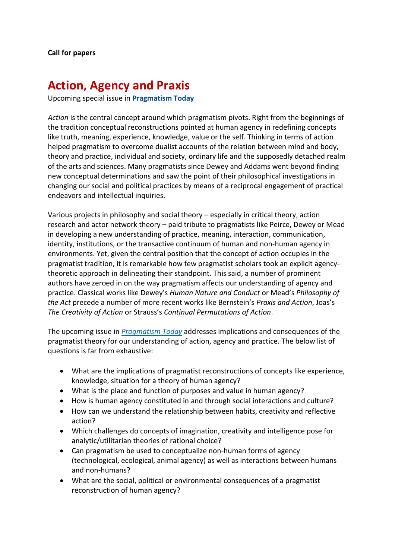## **Action, Agency and Praxis**

Upcoming special issue in **[Pragmatism Today](http://www.pragmatismtoday.eu/)**

*Action* is the central concept around which pragmatism pivots. Right from the beginnings of the tradition conceptual reconstructions pointed at human agency in redefining concepts like truth, meaning, experience, knowledge, value or the self. Thinking in terms of action helped pragmatism to overcome dualist accounts of the relation between mind and body, theory and practice, individual and society, ordinary life and the supposedly detached realm of the arts and sciences. Many pragmatists since Dewey and Addams went beyond finding new conceptual determinations and saw the point of their philosophical investigations in changing our social and political practices by means of a reciprocal engagement of practical endeavors and intellectual inquiries.

Various projects in philosophy and social theory – especially in critical theory, action research and actor network theory – paid tribute to pragmatists like Peirce, Dewey or Mead in developing a new understanding of practice, meaning, interaction, communication, identity, institutions, or the transactive continuum of human and non-human agency in environments. Yet, given the central position that the concept of action occupies in the pragmatist tradition, it is remarkable how few pragmatist scholars took an explicit agencytheoretic approach in delineating their standpoint. This said, a number of prominent authors have zeroed in on the way pragmatism affects our understanding of agency and practice. Classical works like Dewey's *Human Nature and Conduct* or Mead's *Philosophy of the Act* precede a number of more recent works like Bernstein's *Praxis and Action*, Joas's *The Creativity of Action* or Strauss's *Continual Permutations of Action*.

The upcoming issue in *[Pragmatism Today](http://www.pragmatismtoday.eu/)* addresses implications and consequences of the pragmatist theory for our understanding of action, agency and practice. The below list of questions is far from exhaustive:

- What are the implications of pragmatist reconstructions of concepts like experience, knowledge, situation for a theory of human agency?
- What is the place and function of purposes and value in human agency?
- How is human agency constituted in and through social interactions and culture?
- How can we understand the relationship between habits, creativity and reflective action?
- Which challenges do concepts of imagination, creativity and intelligence pose for analytic/utilitarian theories of rational choice?
- Can pragmatism be used to conceptualize non-human forms of agency (technological, ecological, animal agency) as well as interactions between humans and non-humans?
- What are the social, political or environmental consequences of a pragmatist reconstruction of human agency?